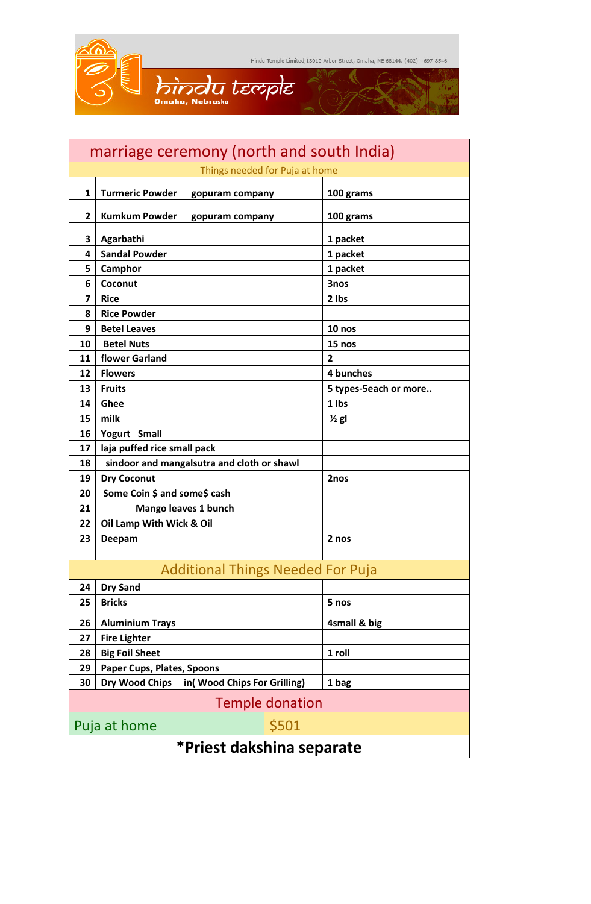| marriage ceremony (north and south India) |                                               |                       |  |  |
|-------------------------------------------|-----------------------------------------------|-----------------------|--|--|
| Things needed for Puja at home            |                                               |                       |  |  |
| 1                                         | <b>Turmeric Powder</b><br>gopuram company     | 100 grams             |  |  |
| $\overline{2}$                            | <b>Kumkum Powder</b><br>gopuram company       | 100 grams             |  |  |
| 3                                         | Agarbathi                                     | 1 packet              |  |  |
| 4                                         | <b>Sandal Powder</b>                          | 1 packet              |  |  |
| 5                                         | Camphor                                       | 1 packet              |  |  |
| 6                                         | Coconut                                       | 3nos                  |  |  |
| $\overline{7}$                            | <b>Rice</b>                                   | 2 lbs                 |  |  |
| 8                                         | <b>Rice Powder</b>                            |                       |  |  |
| 9                                         | <b>Betel Leaves</b>                           | $10$ nos              |  |  |
| 10                                        | <b>Betel Nuts</b>                             | 15 nos                |  |  |
| 11                                        | flower Garland                                | $\overline{2}$        |  |  |
| 12                                        | <b>Flowers</b>                                | 4 bunches             |  |  |
| 13                                        | <b>Fruits</b>                                 | 5 types-5each or more |  |  |
| 14                                        | Ghee                                          | 1 lbs                 |  |  |
| 15                                        | milk                                          | $\frac{1}{2}$ gl      |  |  |
| 16                                        | Yogurt Small                                  |                       |  |  |
| 17                                        | laja puffed rice small pack                   |                       |  |  |
| 18                                        | sindoor and mangalsutra and cloth or shawl    |                       |  |  |
| 19                                        | <b>Dry Coconut</b>                            | 2nos                  |  |  |
| 20                                        | Some Coin \$ and some\$ cash                  |                       |  |  |
| 21                                        | Mango leaves 1 bunch                          |                       |  |  |
| 22                                        | Oil Lamp With Wick & Oil                      |                       |  |  |
| 23                                        | Deepam                                        | 2 nos                 |  |  |
|                                           |                                               |                       |  |  |
| <b>Additional Things Needed For Puja</b>  |                                               |                       |  |  |
| 24                                        | <b>Dry Sand</b>                               |                       |  |  |
| 25                                        | <b>Bricks</b>                                 | 5 nos                 |  |  |
| 26                                        | <b>Aluminium Trays</b>                        | 4small & big          |  |  |
| 27                                        | <b>Fire Lighter</b>                           |                       |  |  |
| 28                                        | <b>Big Foil Sheet</b>                         | 1 roll                |  |  |
| 29                                        | Paper Cups, Plates, Spoons                    |                       |  |  |
| 30                                        | Dry Wood Chips<br>in(Wood Chips For Grilling) | 1 bag                 |  |  |
| <b>Temple donation</b>                    |                                               |                       |  |  |
| \$501<br>Puja at home                     |                                               |                       |  |  |
| *Priest dakshina separate                 |                                               |                       |  |  |